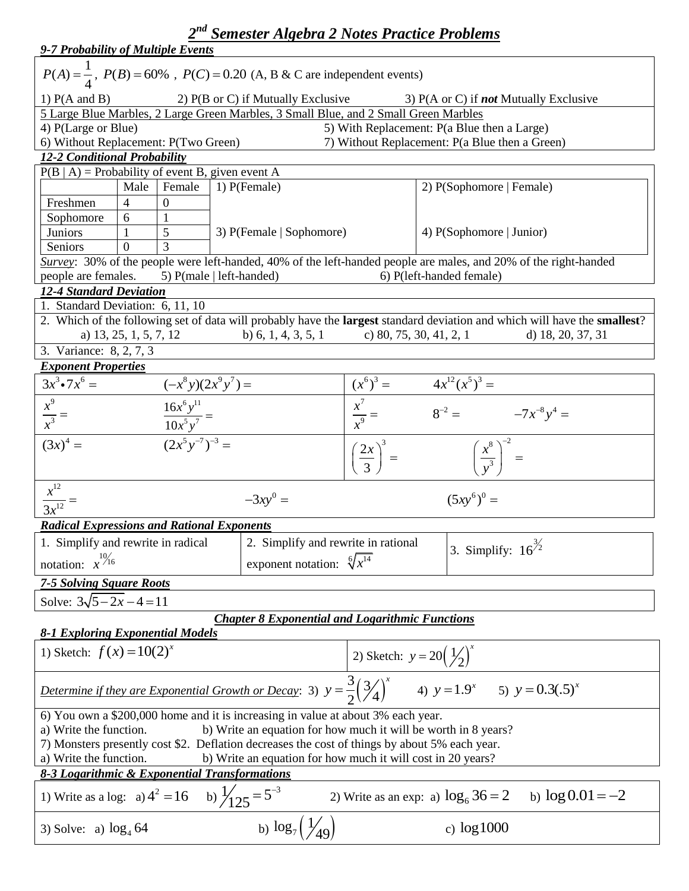| 2 <sup>nd</sup> Semester Algebra 2 Notes Practice Problems                                                                                                                                                                                                                                                                                                                                                              |                                                                                                                  |                                                 |                                                                                                                           |  |  |  |  |
|-------------------------------------------------------------------------------------------------------------------------------------------------------------------------------------------------------------------------------------------------------------------------------------------------------------------------------------------------------------------------------------------------------------------------|------------------------------------------------------------------------------------------------------------------|-------------------------------------------------|---------------------------------------------------------------------------------------------------------------------------|--|--|--|--|
| 9-7 Probability of Multiple Events                                                                                                                                                                                                                                                                                                                                                                                      |                                                                                                                  |                                                 |                                                                                                                           |  |  |  |  |
| $P(A) = \frac{1}{4}$ , $P(B) = 60\%$ , $P(C) = 0.20$ (A, B & C are independent events)                                                                                                                                                                                                                                                                                                                                  |                                                                                                                  |                                                 |                                                                                                                           |  |  |  |  |
| 1) $P(A \text{ and } B)$                                                                                                                                                                                                                                                                                                                                                                                                | 2) $P(B \text{ or } C)$ if Mutually Exclusive                                                                    |                                                 | 3) P(A or C) if <b>not</b> Mutually Exclusive                                                                             |  |  |  |  |
| 5 Large Blue Marbles, 2 Large Green Marbles, 3 Small Blue, and 2 Small Green Marbles                                                                                                                                                                                                                                                                                                                                    |                                                                                                                  |                                                 |                                                                                                                           |  |  |  |  |
| 4) P(Large or Blue)                                                                                                                                                                                                                                                                                                                                                                                                     |                                                                                                                  |                                                 | 5) With Replacement: P(a Blue then a Large)                                                                               |  |  |  |  |
| 6) Without Replacement: P(Two Green)                                                                                                                                                                                                                                                                                                                                                                                    |                                                                                                                  |                                                 | 7) Without Replacement: P(a Blue then a Green)                                                                            |  |  |  |  |
| 12-2 Conditional Probability                                                                                                                                                                                                                                                                                                                                                                                            |                                                                                                                  |                                                 |                                                                                                                           |  |  |  |  |
| $P(B   A)$ = Probability of event B, given event A                                                                                                                                                                                                                                                                                                                                                                      |                                                                                                                  |                                                 |                                                                                                                           |  |  |  |  |
| Female<br>Male                                                                                                                                                                                                                                                                                                                                                                                                          | 1) P(Female)                                                                                                     |                                                 | 2) P(Sophomore   Female)                                                                                                  |  |  |  |  |
| $\overline{0}$<br>Freshmen<br>$\overline{4}$                                                                                                                                                                                                                                                                                                                                                                            |                                                                                                                  |                                                 |                                                                                                                           |  |  |  |  |
| Sophomore<br>6                                                                                                                                                                                                                                                                                                                                                                                                          |                                                                                                                  |                                                 |                                                                                                                           |  |  |  |  |
| 5<br><b>Juniors</b>                                                                                                                                                                                                                                                                                                                                                                                                     | 3) P(Female   Sophomore)                                                                                         |                                                 | 4) P(Sophomore   Junior)                                                                                                  |  |  |  |  |
| 3<br>$\Omega$<br>Seniors                                                                                                                                                                                                                                                                                                                                                                                                |                                                                                                                  |                                                 |                                                                                                                           |  |  |  |  |
|                                                                                                                                                                                                                                                                                                                                                                                                                         | Survey: 30% of the people were left-handed, 40% of the left-handed people are males, and 20% of the right-handed |                                                 |                                                                                                                           |  |  |  |  |
| people are females.<br>5) $P(male   left-handed)$                                                                                                                                                                                                                                                                                                                                                                       |                                                                                                                  |                                                 | 6) P(left-handed female)                                                                                                  |  |  |  |  |
| 12-4 Standard Deviation                                                                                                                                                                                                                                                                                                                                                                                                 |                                                                                                                  |                                                 |                                                                                                                           |  |  |  |  |
| 1. Standard Deviation: 6, 11, 10                                                                                                                                                                                                                                                                                                                                                                                        |                                                                                                                  |                                                 |                                                                                                                           |  |  |  |  |
|                                                                                                                                                                                                                                                                                                                                                                                                                         |                                                                                                                  |                                                 | 2. Which of the following set of data will probably have the largest standard deviation and which will have the smallest? |  |  |  |  |
| a) 13, 25, 1, 5, 7, 12                                                                                                                                                                                                                                                                                                                                                                                                  | b) 6, 1, 4, 3, 5, 1                                                                                              |                                                 | c) 80, 75, 30, 41, 2, 1<br>d) 18, 20, 37, 31                                                                              |  |  |  |  |
| 3. Variance: 8, 2, 7, 3                                                                                                                                                                                                                                                                                                                                                                                                 |                                                                                                                  |                                                 |                                                                                                                           |  |  |  |  |
| <b>Exponent Properties</b>                                                                                                                                                                                                                                                                                                                                                                                              |                                                                                                                  |                                                 |                                                                                                                           |  |  |  |  |
| $3x^3 \cdot 7x^6 =$<br>$(-x^8y)(2x^9y^7) =$                                                                                                                                                                                                                                                                                                                                                                             |                                                                                                                  | $(x^6)^3 =$                                     | $4x^{12}(x^5)^3 =$                                                                                                        |  |  |  |  |
|                                                                                                                                                                                                                                                                                                                                                                                                                         |                                                                                                                  | $\frac{x^7}{x^9} =$<br>$8^{-2} = -7x^{-8}y^4 =$ |                                                                                                                           |  |  |  |  |
| $\frac{x^9}{x^3} =$<br>$\frac{16x^6y^{11}}{10x^5y^7} =$                                                                                                                                                                                                                                                                                                                                                                 |                                                                                                                  |                                                 |                                                                                                                           |  |  |  |  |
|                                                                                                                                                                                                                                                                                                                                                                                                                         |                                                                                                                  |                                                 |                                                                                                                           |  |  |  |  |
| $\frac{1}{(2x^5y^{-7})^{-3}}$ =<br>$(3x)^4 =$                                                                                                                                                                                                                                                                                                                                                                           |                                                                                                                  | $\left(\frac{2x}{3}\right)^3 =$                 | $\left(\frac{x^8}{y^3}\right)^{-2} =$                                                                                     |  |  |  |  |
| $\frac{x^{12}}{3x^{12}} =$                                                                                                                                                                                                                                                                                                                                                                                              | $-3xy^0 =$                                                                                                       |                                                 | $(5xy^6)^0 =$                                                                                                             |  |  |  |  |
| <b>Radical Expressions and Rational Exponents</b>                                                                                                                                                                                                                                                                                                                                                                       |                                                                                                                  |                                                 |                                                                                                                           |  |  |  |  |
| 1. Simplify and rewrite in radical                                                                                                                                                                                                                                                                                                                                                                                      | 2. Simplify and rewrite in rational                                                                              |                                                 |                                                                                                                           |  |  |  |  |
| notation: $x^{10/16}$                                                                                                                                                                                                                                                                                                                                                                                                   | exponent notation: $\sqrt[6]{x}^{14}$                                                                            |                                                 | 3. Simplify: $16^{3/2}$                                                                                                   |  |  |  |  |
| <b>7-5 Solving Square Roots</b>                                                                                                                                                                                                                                                                                                                                                                                         |                                                                                                                  |                                                 |                                                                                                                           |  |  |  |  |
|                                                                                                                                                                                                                                                                                                                                                                                                                         |                                                                                                                  |                                                 |                                                                                                                           |  |  |  |  |
| Solve: $3\sqrt{5} - 2x - 4 = 11$                                                                                                                                                                                                                                                                                                                                                                                        |                                                                                                                  |                                                 |                                                                                                                           |  |  |  |  |
| <b>Chapter 8 Exponential and Logarithmic Functions</b><br><b>8-1 Exploring Exponential Models</b>                                                                                                                                                                                                                                                                                                                       |                                                                                                                  |                                                 |                                                                                                                           |  |  |  |  |
| 1) Sketch: $f(x) = 10(2)^{x}$                                                                                                                                                                                                                                                                                                                                                                                           |                                                                                                                  | 2) Sketch: $y = 20(\frac{1}{2})^x$              |                                                                                                                           |  |  |  |  |
| Determine if they are Exponential Growth or Decay: 3) $y = \frac{3}{2} (\frac{3}{4})^x$ 4) $y = 1.9^x$ 5) $y = 0.3(.5)^x$                                                                                                                                                                                                                                                                                               |                                                                                                                  |                                                 |                                                                                                                           |  |  |  |  |
| 6) You own a \$200,000 home and it is increasing in value at about 3% each year.<br>b) Write an equation for how much it will be worth in 8 years?<br>a) Write the function.<br>7) Monsters presently cost \$2. Deflation decreases the cost of things by about 5% each year.<br>b) Write an equation for how much it will cost in 20 years?<br>a) Write the function.<br>8-3 Logarithmic & Exponential Transformations |                                                                                                                  |                                                 |                                                                                                                           |  |  |  |  |
|                                                                                                                                                                                                                                                                                                                                                                                                                         |                                                                                                                  |                                                 |                                                                                                                           |  |  |  |  |
| b) $\frac{1}{25} = 5^{-3}$<br>1) Write as a log: a) $4^2 = 16$                                                                                                                                                                                                                                                                                                                                                          |                                                                                                                  |                                                 | 2) Write as an exp: a) $\log_6 36 = 2$<br>b) $\log 0.01 = -2$                                                             |  |  |  |  |
| 3) Solve: a) $\log_4 64$                                                                                                                                                                                                                                                                                                                                                                                                | b) $\log_7(\frac{1}{49})$                                                                                        |                                                 | c) $\log 1000$                                                                                                            |  |  |  |  |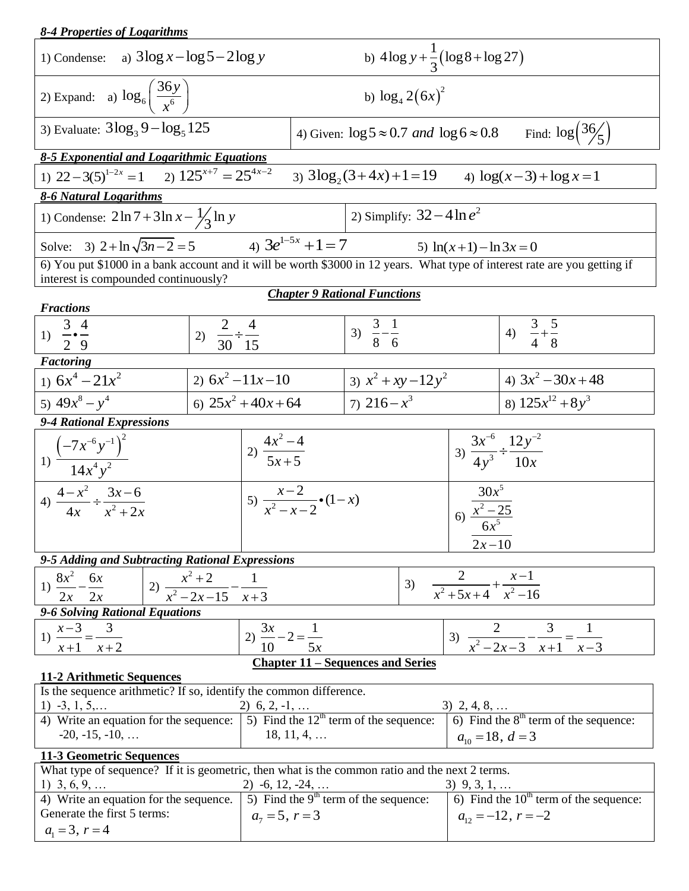| 1) Condense: a) $3\log x - \log 5 - 2\log y$                                                                                                                       | b) $4\log y + \frac{1}{2}(\log 8 + \log 27)$ |                                      |                                                                                                  |  |                                                                                                        |  |  |
|--------------------------------------------------------------------------------------------------------------------------------------------------------------------|----------------------------------------------|--------------------------------------|--------------------------------------------------------------------------------------------------|--|--------------------------------------------------------------------------------------------------------|--|--|
| 2) Expand: a) $\log_6\left(\frac{36y}{x^6}\right)$                                                                                                                 |                                              |                                      | b) $\log_4 2(6x)^2$                                                                              |  |                                                                                                        |  |  |
| 3) Evaluate: $3\log_3 9 - \log_5 125$                                                                                                                              |                                              |                                      | Find: $\log\left(\frac{36}{5}\right)$<br>4) Given: $\log 5 \approx 0.7$ and $\log 6 \approx 0.8$ |  |                                                                                                        |  |  |
| 8-5 Exponential and Logarithmic Equations                                                                                                                          |                                              |                                      |                                                                                                  |  |                                                                                                        |  |  |
| 1) $22-3(5)^{1-2x} = 1$ 2) $125^{x+7} = 25^{4x-2}$<br>3) $3\log_2(3+4x)+1=19$ 4) $\log(x-3)+\log x=1$                                                              |                                              |                                      |                                                                                                  |  |                                                                                                        |  |  |
| 8-6 Natural Logarithms                                                                                                                                             |                                              |                                      |                                                                                                  |  |                                                                                                        |  |  |
| 2) Simplify: $32-4\ln e^2$<br>1) Condense: $2 \ln 7 + 3 \ln x - \frac{1}{3} \ln y$                                                                                 |                                              |                                      |                                                                                                  |  |                                                                                                        |  |  |
| Solve: 3) $2 + \ln \sqrt{3n-2} = 5$ 4) $3e^{1-5x} + 1 = 7$                                                                                                         |                                              |                                      | 5) $ln(x+1) - ln 3x = 0$                                                                         |  |                                                                                                        |  |  |
| 6) You put \$1000 in a bank account and it will be worth \$3000 in 12 years. What type of interest rate are you getting if<br>interest is compounded continuously? |                                              |                                      |                                                                                                  |  |                                                                                                        |  |  |
|                                                                                                                                                                    |                                              |                                      | <b>Chapter 9 Rational Functions</b>                                                              |  |                                                                                                        |  |  |
| <b>Fractions</b>                                                                                                                                                   |                                              |                                      |                                                                                                  |  |                                                                                                        |  |  |
| 1) $\frac{3}{2} \cdot \frac{4}{9}$                                                                                                                                 | 2) $\frac{2}{30} \div \frac{4}{15}$          |                                      | 3) $\frac{3}{8} - \frac{1}{6}$                                                                   |  | 4) $\frac{3}{4} + \frac{5}{8}$                                                                         |  |  |
|                                                                                                                                                                    |                                              |                                      |                                                                                                  |  |                                                                                                        |  |  |
| Factoring                                                                                                                                                          |                                              |                                      |                                                                                                  |  |                                                                                                        |  |  |
| 1) $6x^4 - 21x^2$                                                                                                                                                  | 2) $6x^2 - 11x - 10$                         |                                      | 3) $x^2 + xy - 12y^2$                                                                            |  | 4) $3x^2 - 30x + 48$                                                                                   |  |  |
| 5) $49x^8 - y^4$                                                                                                                                                   | 6) $25x^2 + 40x + 64$                        |                                      | 7) $216 - x^3$                                                                                   |  | 8) $125x^{12} + 8y^3$                                                                                  |  |  |
| 9-4 Rational Expressions                                                                                                                                           |                                              |                                      |                                                                                                  |  |                                                                                                        |  |  |
| 1) $\frac{(-7x^{-6}y^{-1})^2}{14x^4y^2}$                                                                                                                           | 2) $\frac{4x^2-4}{5x+5}$                     |                                      |                                                                                                  |  | 3) $\frac{3x^{-6}}{4y^3} \div \frac{12y^{-2}}{10x}$                                                    |  |  |
| 4) $\frac{4-x^2}{4x} \div \frac{3x-6}{x^2+2x}$                                                                                                                     |                                              | 5) $\frac{x-2}{x^2-x-2}$ (1-x)       |                                                                                                  |  | $\Big  \frac{30x^5}{6}$<br>6. $\frac{x^2-25}{6x^5}$                                                    |  |  |
|                                                                                                                                                                    |                                              |                                      | $2x - 10$                                                                                        |  |                                                                                                        |  |  |
| 9-5 Adding and Subtracting Rational Expressions                                                                                                                    |                                              |                                      |                                                                                                  |  |                                                                                                        |  |  |
| 2) $\overline{x^2+2}$ $\overline{x^2-2x-15}$ $\overline{x+3}$<br>$8x^2$<br>$\frac{2}{x^2+5x+4}+\frac{x-1}{x^2-16}$<br>6x<br>3)<br>1)                               |                                              |                                      |                                                                                                  |  |                                                                                                        |  |  |
| 2x<br>2x                                                                                                                                                           |                                              |                                      |                                                                                                  |  |                                                                                                        |  |  |
| 9-6 Solving Rational Equations                                                                                                                                     |                                              |                                      |                                                                                                  |  |                                                                                                        |  |  |
| 1) $\frac{x-3}{x-3} = -$<br>3                                                                                                                                      |                                              | 2) $\frac{3x}{10} - 2 = \frac{1}{5}$ |                                                                                                  |  | 3) $\frac{2}{x^2-2x-3} - \frac{3}{x+1} = \frac{1}{x-3}$                                                |  |  |
| $x+1$ $x+2$<br>10                                                                                                                                                  |                                              |                                      |                                                                                                  |  |                                                                                                        |  |  |
| <b>Chapter 11 – Sequences and Series</b><br>11-2 Arithmetic Sequences                                                                                              |                                              |                                      |                                                                                                  |  |                                                                                                        |  |  |
| Is the sequence arithmetic? If so, identify the common difference.                                                                                                 |                                              |                                      |                                                                                                  |  |                                                                                                        |  |  |
| 1) -3, 1, 5, 2) 6, 2, -1,  3) 2, 4, 8,<br>4) Write an equation for the sequence: 5) Find the $12th$ term of the sequence: 6) Find the $8th$ term of the sequence:  |                                              |                                      |                                                                                                  |  |                                                                                                        |  |  |
| $-20, -15, -10, \ldots$<br>$18, 11, 4, \ldots$<br>$a_{10} = 18, d = 3$                                                                                             |                                              |                                      |                                                                                                  |  |                                                                                                        |  |  |
| 11-3 Geometric Sequences                                                                                                                                           |                                              |                                      |                                                                                                  |  |                                                                                                        |  |  |
| What type of sequence? If it is geometric, then what is the common ratio and the next 2 terms.                                                                     |                                              |                                      |                                                                                                  |  |                                                                                                        |  |  |
| 1) $3, 6, 9, \ldots$<br>4) Write an equation for the sequence.                                                                                                     |                                              |                                      | 2) -6, 12, -24,<br>5) Find the 9 <sup>th</sup> term of the sequence:                             |  | $\frac{3}{1}$ , $\frac{9}{1}$ , $\frac{3}{1}$ ,<br>(6) Find the 10 <sup>th</sup> term of the sequence: |  |  |
| Generate the first 5 terms:                                                                                                                                        |                                              | $a_7 = 5$ , $r = 3$                  |                                                                                                  |  | $a_{12} = -12$ , $r = -2$                                                                              |  |  |
| $a_1 = 3, r = 4$                                                                                                                                                   |                                              |                                      |                                                                                                  |  |                                                                                                        |  |  |

*8-4 Properties of Logarithms*

 $\mathsf{l}$